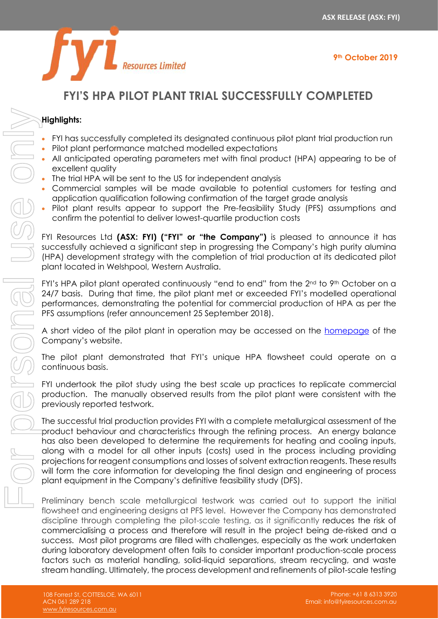



# **FYI'S HPA PILOT PLANT TRIAL SUCCESSFULLY COMPLETED**

#### **Highlights:**

- FYI has successfully completed its designated continuous pilot plant trial production run
- Pilot plant performance matched modelled expectations
- All anticipated operating parameters met with final product (HPA) appearing to be of excellent quality
- The trial HPA will be sent to the US for independent analysis
- Commercial samples will be made available to potential customers for testing and application qualification following confirmation of the target grade analysis
- Pilot plant results appear to support the Pre-feasibility Study (PFS) assumptions and confirm the potential to deliver lowest-quartile production costs

FYI Resources Ltd **(ASX: FYI) ("FYI" or "the Company")** is pleased to announce it has successfully achieved a significant step in progressing the Company's high purity alumina (HPA) development strategy with the completion of trial production at its dedicated pilot plant located in Welshpool, Western Australia.

FYI's HPA pilot plant operated continuously "end to end" from the 2<sup>nd</sup> to 9<sup>th</sup> October on a 24/7 basis. During that time, the pilot plant met or exceeded FYI's modelled operational performances, demonstrating the potential for commercial production of HPA as per the PFS assumptions (refer announcement 25 September 2018).

A short video of the pilot plant in operation may be accessed on the [homepage](https://www.fyiresources.com.au/) of the Company's website.

The pilot plant demonstrated that FYI's unique HPA flowsheet could operate on a continuous basis.

FYI undertook the pilot study using the best scale up practices to replicate commercial production. The manually observed results from the pilot plant were consistent with the previously reported testwork.

The successful trial production provides FYI with a complete metallurgical assessment of the product behaviour and characteristics through the refining process. An energy balance has also been developed to determine the requirements for heating and cooling inputs, along with a model for all other inputs (costs) used in the process including providing projections for reagent consumptions and losses of solvent extraction reagents. These results will form the core information for developing the final design and engineering of process plant equipment in the Company's definitive feasibility study (DFS).

Preliminary bench scale metallurgical testwork was carried out to support the initial flowsheet and engineering designs at PFS level. However the Company has demonstrated discipline through completing the pilot-scale testing, as it significantly reduces the risk of commercialising a process and therefore will result in the project being de-risked and a success. Most pilot programs are filled with challenges, especially as the work undertaken during laboratory development often fails to consider important production-scale process factors such as material handling, solid-liquid separations, stream recycling, and waste stream handle that the stress of the process of the process of pilot in the process of the pilot of the process of the pilot in the process of the pilot of the process of the pilot in the process of the pilot of the proces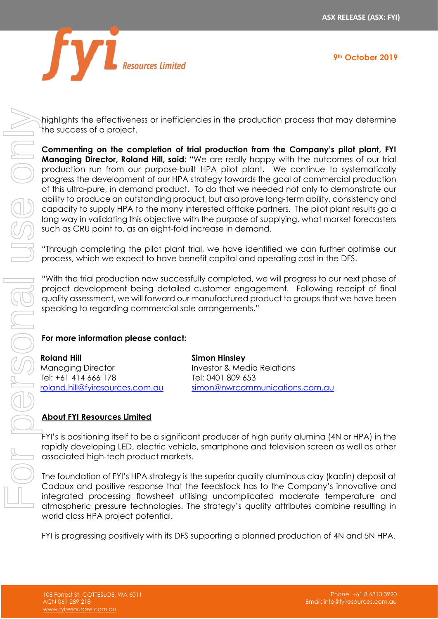



highlights the effectiveness or inefficiencies in the production process that may determine the success of a project.

**Commenting on the completion of trial production from the Company's pilot plant, FYI Managing Director, Roland Hill, said**: "We are really happy with the outcomes of our trial production run from our purpose-built HPA pilot plant. We continue to systematically progress the development of our HPA strategy towards the goal of commercial production of this ultra-pure, in demand product. To do that we needed not only to demonstrate our ability to produce an outstanding product, but also prove long‐term ability, consistency and capacity to supply HPA to the many interested offtake partners. The pilot plant results go a long way in validating this objective with the purpose of supplying, what market forecasters such as CRU point to, as an eight-fold increase in demand. Frightlights the effectiveness or inefficiencies in the production process that may determine<br>
Commenting on the completion of this production from the Company's pilot plant. Measure the success of order that successively

"Through completing the pilot plant trial, we have identified we can further optimise our process, which we expect to have benefit capital and operating cost in the DFS.

"With the trial production now successfully completed, we will progress to our next phase of project development being detailed customer engagement. Following receipt of final quality assessment, we will forward our manufactured product to groups that we have been speaking to regarding commercial sale arrangements."

## **For more information please contact:**

**Roland Hill** Managing Director Tel: +61 414 666 178 [roland.hill@fyiresources.com.au](mailto:roland.hill@fyiresources.com.au) **Simon Hinsley** Investor & Media Relations Tel: 0401 809 653 [simon@nwrcommunications.com.au](mailto:simon@nwrcommunications.com.au)

## **About FYI Resources Limited**

FYI's is positioning itself to be a significant producer of high purity alumina (4N or HPA) in the rapidly developing LED, electric vehicle, smartphone and television screen as well as other associated high-tech product markets.

The foundation of FYI's HPA strategy is the superior quality aluminous clay (kaolin) deposit at Cadoux and positive response that the feedstock has to the Company's innovative and integrated processing flowsheet utilising uncomplicated moderate temperature and atmospheric pressure technologies. The strategy's quality attributes combine resulting in world class HPA project potential.